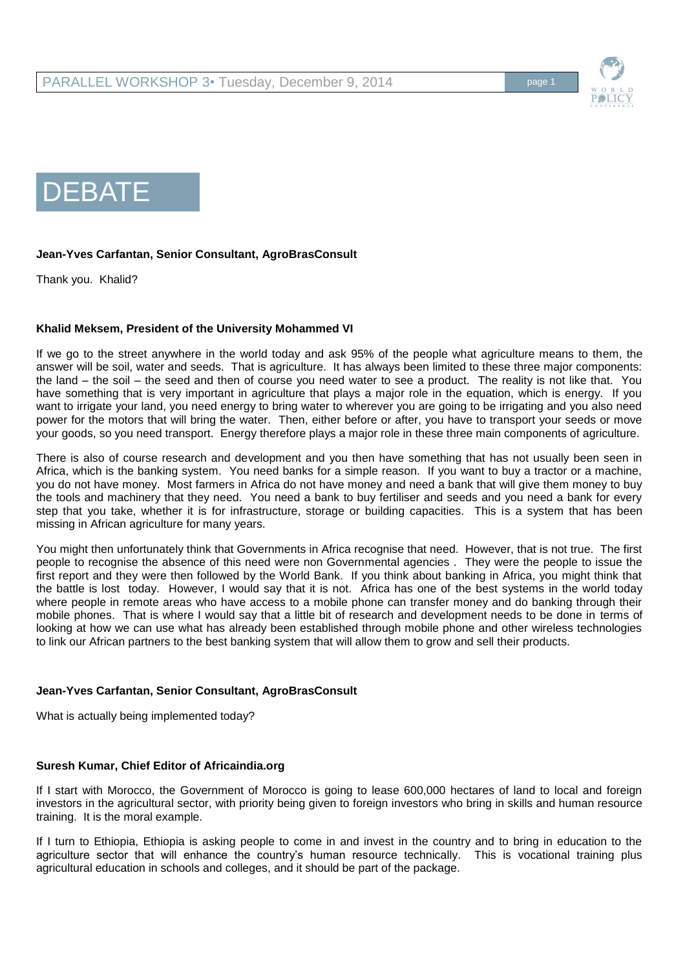

# DEBATE

# **Jean-Yves Carfantan, Senior Consultant, AgroBrasConsult**

Thank you. Khalid?

# **Khalid Meksem, President of the University Mohammed VI**

If we go to the street anywhere in the world today and ask 95% of the people what agriculture means to them, the answer will be soil, water and seeds. That is agriculture. It has always been limited to these three major components: the land – the soil – the seed and then of course you need water to see a product. The reality is not like that. You have something that is very important in agriculture that plays a major role in the equation, which is energy. If you want to irrigate your land, you need energy to bring water to wherever you are going to be irrigating and you also need power for the motors that will bring the water. Then, either before or after, you have to transport your seeds or move your goods, so you need transport. Energy therefore plays a major role in these three main components of agriculture.

There is also of course research and development and you then have something that has not usually been seen in Africa, which is the banking system. You need banks for a simple reason. If you want to buy a tractor or a machine, you do not have money. Most farmers in Africa do not have money and need a bank that will give them money to buy the tools and machinery that they need. You need a bank to buy fertiliser and seeds and you need a bank for every step that you take, whether it is for infrastructure, storage or building capacities. This is a system that has been missing in African agriculture for many years.

You might then unfortunately think that Governments in Africa recognise that need. However, that is not true. The first people to recognise the absence of this need were non Governmental agencies . They were the people to issue the first report and they were then followed by the World Bank. If you think about banking in Africa, you might think that the battle is lost today. However, I would say that it is not. Africa has one of the best systems in the world today where people in remote areas who have access to a mobile phone can transfer money and do banking through their mobile phones. That is where I would say that a little bit of research and development needs to be done in terms of looking at how we can use what has already been established through mobile phone and other wireless technologies to link our African partners to the best banking system that will allow them to grow and sell their products.

# **Jean-Yves Carfantan, Senior Consultant, AgroBrasConsult**

What is actually being implemented today?

# **Suresh Kumar, Chief Editor of Africaindia.org**

If I start with Morocco, the Government of Morocco is going to lease 600,000 hectares of land to local and foreign investors in the agricultural sector, with priority being given to foreign investors who bring in skills and human resource training. It is the moral example.

If I turn to Ethiopia, Ethiopia is asking people to come in and invest in the country and to bring in education to the agriculture sector that will enhance the country's human resource technically. This is vocational training plus agricultural education in schools and colleges, and it should be part of the package.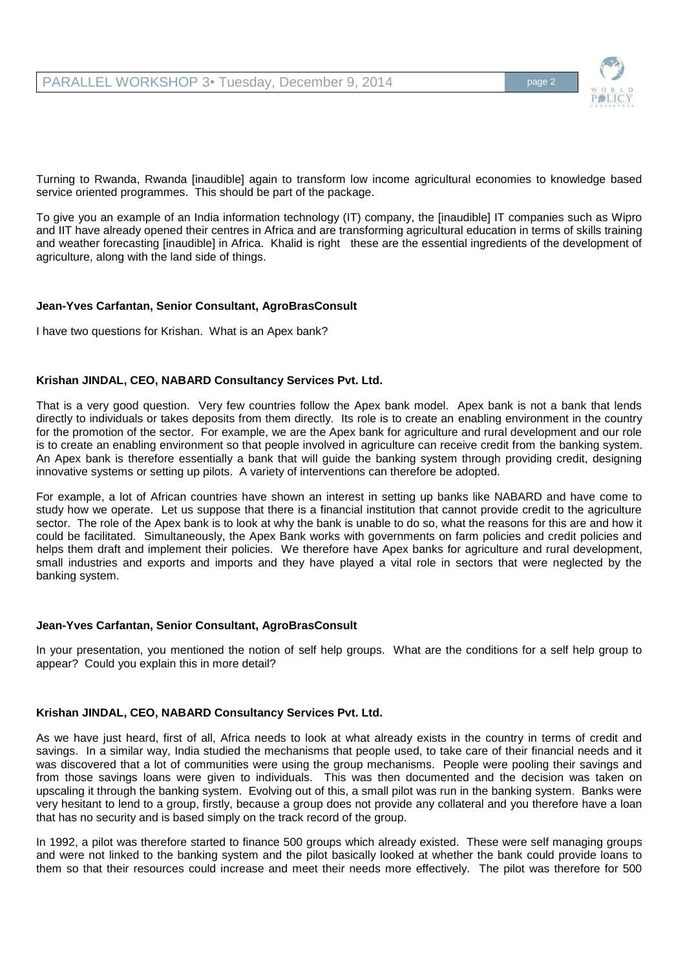PARALLEL WORKSHOP 3• Tuesday, December 9, 2014



Turning to Rwanda, Rwanda [inaudible] again to transform low income agricultural economies to knowledge based service oriented programmes. This should be part of the package.

To give you an example of an India information technology (IT) company, the [inaudible] IT companies such as Wipro and IIT have already opened their centres in Africa and are transforming agricultural education in terms of skills training and weather forecasting [inaudible] in Africa. Khalid is right these are the essential ingredients of the development of agriculture, along with the land side of things.

# **Jean-Yves Carfantan, Senior Consultant, AgroBrasConsult**

I have two questions for Krishan. What is an Apex bank?

#### **Krishan JINDAL, CEO, NABARD Consultancy Services Pvt. Ltd.**

That is a very good question. Very few countries follow the Apex bank model. Apex bank is not a bank that lends directly to individuals or takes deposits from them directly. Its role is to create an enabling environment in the country for the promotion of the sector. For example, we are the Apex bank for agriculture and rural development and our role is to create an enabling environment so that people involved in agriculture can receive credit from the banking system. An Apex bank is therefore essentially a bank that will guide the banking system through providing credit, designing innovative systems or setting up pilots. A variety of interventions can therefore be adopted.

For example, a lot of African countries have shown an interest in setting up banks like NABARD and have come to study how we operate. Let us suppose that there is a financial institution that cannot provide credit to the agriculture sector. The role of the Apex bank is to look at why the bank is unable to do so, what the reasons for this are and how it could be facilitated. Simultaneously, the Apex Bank works with governments on farm policies and credit policies and helps them draft and implement their policies. We therefore have Apex banks for agriculture and rural development, small industries and exports and imports and they have played a vital role in sectors that were neglected by the banking system.

#### **Jean-Yves Carfantan, Senior Consultant, AgroBrasConsult**

In your presentation, you mentioned the notion of self help groups. What are the conditions for a self help group to appear? Could you explain this in more detail?

### **Krishan JINDAL, CEO, NABARD Consultancy Services Pvt. Ltd.**

As we have just heard, first of all, Africa needs to look at what already exists in the country in terms of credit and savings. In a similar way, India studied the mechanisms that people used, to take care of their financial needs and it was discovered that a lot of communities were using the group mechanisms. People were pooling their savings and from those savings loans were given to individuals. This was then documented and the decision was taken on upscaling it through the banking system. Evolving out of this, a small pilot was run in the banking system. Banks were very hesitant to lend to a group, firstly, because a group does not provide any collateral and you therefore have a loan that has no security and is based simply on the track record of the group.

In 1992, a pilot was therefore started to finance 500 groups which already existed. These were self managing groups and were not linked to the banking system and the pilot basically looked at whether the bank could provide loans to them so that their resources could increase and meet their needs more effectively. The pilot was therefore for 500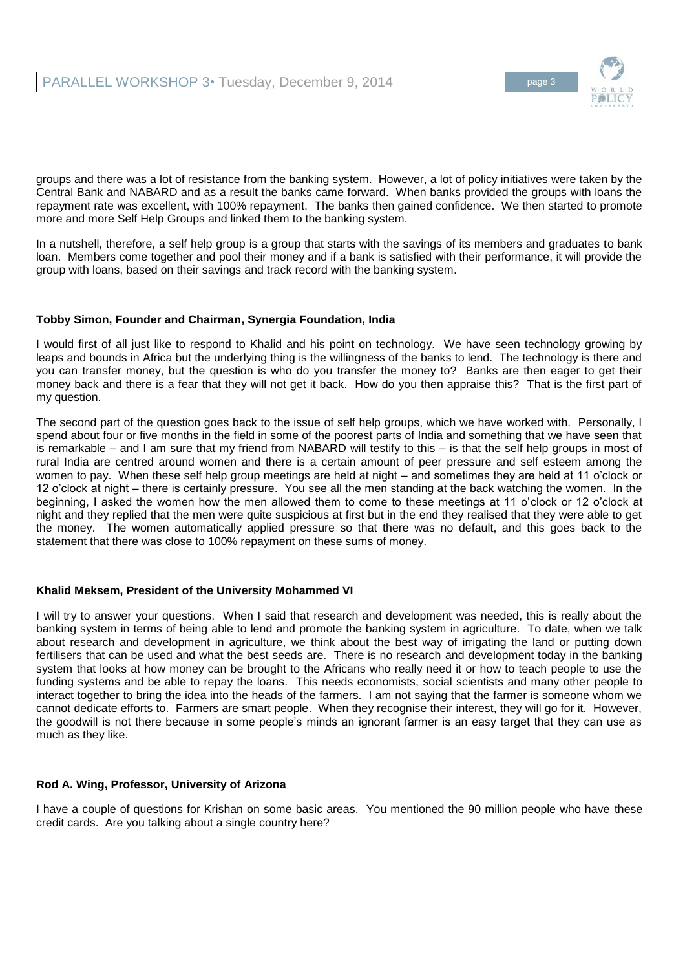

groups and there was a lot of resistance from the banking system. However, a lot of policy initiatives were taken by the Central Bank and NABARD and as a result the banks came forward. When banks provided the groups with loans the repayment rate was excellent, with 100% repayment. The banks then gained confidence. We then started to promote more and more Self Help Groups and linked them to the banking system.

In a nutshell, therefore, a self help group is a group that starts with the savings of its members and graduates to bank loan. Members come together and pool their money and if a bank is satisfied with their performance, it will provide the group with loans, based on their savings and track record with the banking system.

# **Tobby Simon, Founder and Chairman, Synergia Foundation, India**

I would first of all just like to respond to Khalid and his point on technology. We have seen technology growing by leaps and bounds in Africa but the underlying thing is the willingness of the banks to lend. The technology is there and you can transfer money, but the question is who do you transfer the money to? Banks are then eager to get their money back and there is a fear that they will not get it back. How do you then appraise this? That is the first part of my question.

The second part of the question goes back to the issue of self help groups, which we have worked with. Personally, I spend about four or five months in the field in some of the poorest parts of India and something that we have seen that is remarkable – and I am sure that my friend from NABARD will testify to this – is that the self help groups in most of rural India are centred around women and there is a certain amount of peer pressure and self esteem among the women to pay. When these self help group meetings are held at night – and sometimes they are held at 11 o'clock or 12 o'clock at night – there is certainly pressure. You see all the men standing at the back watching the women. In the beginning, I asked the women how the men allowed them to come to these meetings at 11 o'clock or 12 o'clock at night and they replied that the men were quite suspicious at first but in the end they realised that they were able to get the money. The women automatically applied pressure so that there was no default, and this goes back to the statement that there was close to 100% repayment on these sums of money.

# **Khalid Meksem, President of the University Mohammed VI**

I will try to answer your questions. When I said that research and development was needed, this is really about the banking system in terms of being able to lend and promote the banking system in agriculture. To date, when we talk about research and development in agriculture, we think about the best way of irrigating the land or putting down fertilisers that can be used and what the best seeds are. There is no research and development today in the banking system that looks at how money can be brought to the Africans who really need it or how to teach people to use the funding systems and be able to repay the loans. This needs economists, social scientists and many other people to interact together to bring the idea into the heads of the farmers. I am not saying that the farmer is someone whom we cannot dedicate efforts to. Farmers are smart people. When they recognise their interest, they will go for it. However, the goodwill is not there because in some people's minds an ignorant farmer is an easy target that they can use as much as they like.

# **Rod A. Wing, Professor, University of Arizona**

I have a couple of questions for Krishan on some basic areas. You mentioned the 90 million people who have these credit cards. Are you talking about a single country here?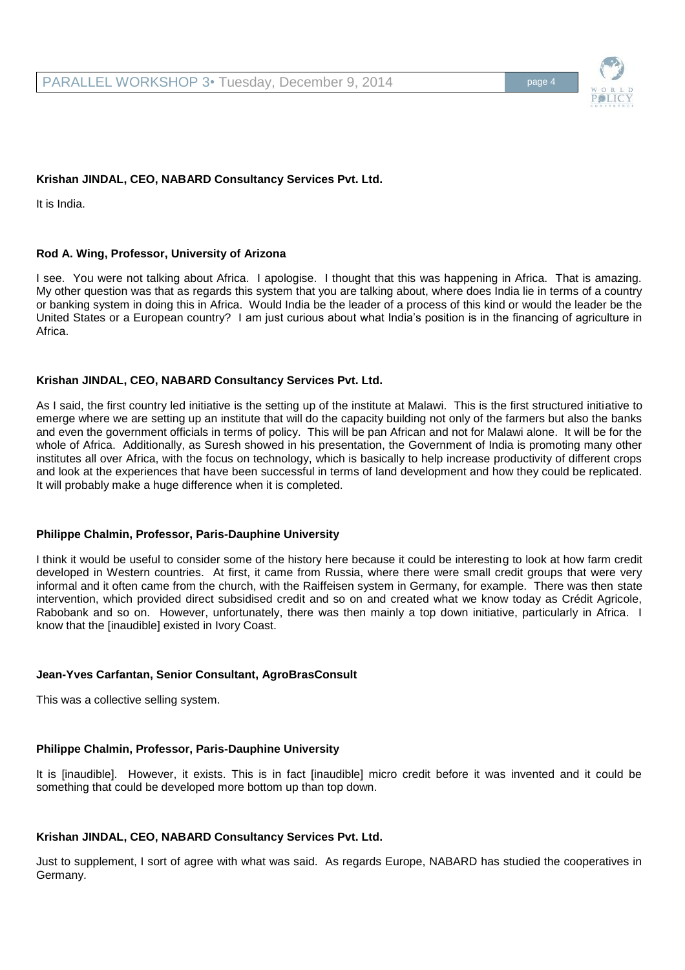# **Krishan JINDAL, CEO, NABARD Consultancy Services Pvt. Ltd.**

It is India.

# **Rod A. Wing, Professor, University of Arizona**

I see. You were not talking about Africa. I apologise. I thought that this was happening in Africa. That is amazing. My other question was that as regards this system that you are talking about, where does India lie in terms of a country or banking system in doing this in Africa. Would India be the leader of a process of this kind or would the leader be the United States or a European country? I am just curious about what India's position is in the financing of agriculture in Africa.

# **Krishan JINDAL, CEO, NABARD Consultancy Services Pvt. Ltd.**

As I said, the first country led initiative is the setting up of the institute at Malawi. This is the first structured initiative to emerge where we are setting up an institute that will do the capacity building not only of the farmers but also the banks and even the government officials in terms of policy. This will be pan African and not for Malawi alone. It will be for the whole of Africa. Additionally, as Suresh showed in his presentation, the Government of India is promoting many other institutes all over Africa, with the focus on technology, which is basically to help increase productivity of different crops and look at the experiences that have been successful in terms of land development and how they could be replicated. It will probably make a huge difference when it is completed.

# **Philippe Chalmin, Professor, Paris-Dauphine University**

I think it would be useful to consider some of the history here because it could be interesting to look at how farm credit developed in Western countries. At first, it came from Russia, where there were small credit groups that were very informal and it often came from the church, with the Raiffeisen system in Germany, for example. There was then state intervention, which provided direct subsidised credit and so on and created what we know today as Crédit Agricole, Rabobank and so on. However, unfortunately, there was then mainly a top down initiative, particularly in Africa. I know that the [inaudible] existed in Ivory Coast.

# **Jean-Yves Carfantan, Senior Consultant, AgroBrasConsult**

This was a collective selling system.

# **Philippe Chalmin, Professor, Paris-Dauphine University**

It is [inaudible]. However, it exists. This is in fact [inaudible] micro credit before it was invented and it could be something that could be developed more bottom up than top down.

# **Krishan JINDAL, CEO, NABARD Consultancy Services Pvt. Ltd.**

Just to supplement, I sort of agree with what was said. As regards Europe, NABARD has studied the cooperatives in Germany.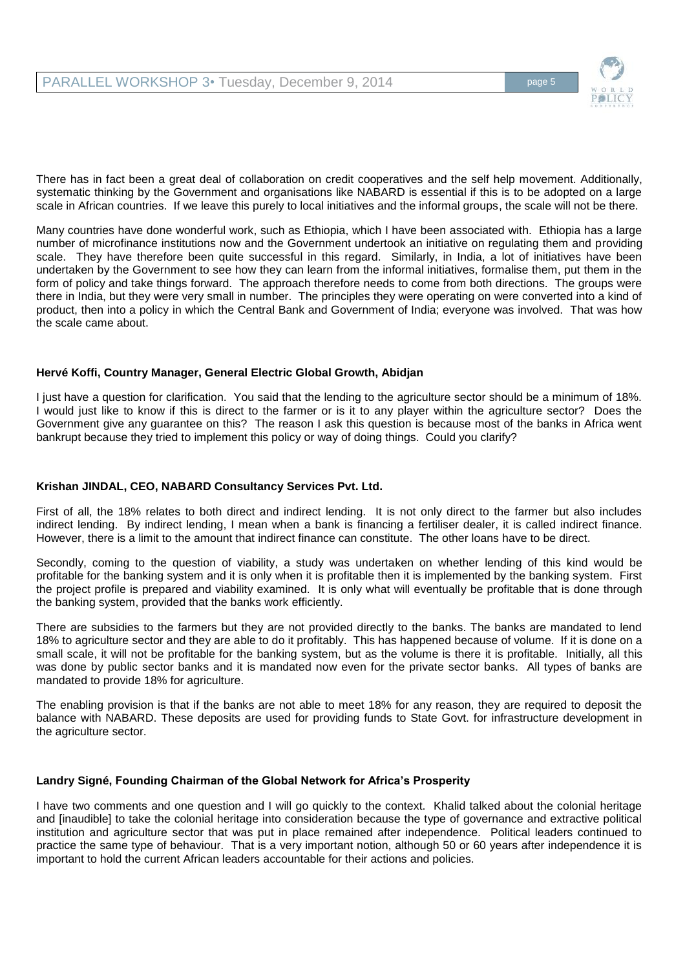

There has in fact been a great deal of collaboration on credit cooperatives and the self help movement. Additionally, systematic thinking by the Government and organisations like NABARD is essential if this is to be adopted on a large scale in African countries. If we leave this purely to local initiatives and the informal groups, the scale will not be there.

Many countries have done wonderful work, such as Ethiopia, which I have been associated with. Ethiopia has a large number of microfinance institutions now and the Government undertook an initiative on regulating them and providing scale. They have therefore been quite successful in this regard. Similarly, in India, a lot of initiatives have been undertaken by the Government to see how they can learn from the informal initiatives, formalise them, put them in the form of policy and take things forward. The approach therefore needs to come from both directions. The groups were there in India, but they were very small in number. The principles they were operating on were converted into a kind of product, then into a policy in which the Central Bank and Government of India; everyone was involved. That was how the scale came about.

# **Hervé Koffi, Country Manager, General Electric Global Growth, Abidjan**

I just have a question for clarification. You said that the lending to the agriculture sector should be a minimum of 18%. I would just like to know if this is direct to the farmer or is it to any player within the agriculture sector? Does the Government give any guarantee on this? The reason I ask this question is because most of the banks in Africa went bankrupt because they tried to implement this policy or way of doing things. Could you clarify?

# **Krishan JINDAL, CEO, NABARD Consultancy Services Pvt. Ltd.**

First of all, the 18% relates to both direct and indirect lending. It is not only direct to the farmer but also includes indirect lending. By indirect lending, I mean when a bank is financing a fertiliser dealer, it is called indirect finance. However, there is a limit to the amount that indirect finance can constitute. The other loans have to be direct.

Secondly, coming to the question of viability, a study was undertaken on whether lending of this kind would be profitable for the banking system and it is only when it is profitable then it is implemented by the banking system. First the project profile is prepared and viability examined. It is only what will eventually be profitable that is done through the banking system, provided that the banks work efficiently.

There are subsidies to the farmers but they are not provided directly to the banks. The banks are mandated to lend 18% to agriculture sector and they are able to do it profitably. This has happened because of volume. If it is done on a small scale, it will not be profitable for the banking system, but as the volume is there it is profitable. Initially, all this was done by public sector banks and it is mandated now even for the private sector banks. All types of banks are mandated to provide 18% for agriculture.

The enabling provision is that if the banks are not able to meet 18% for any reason, they are required to deposit the balance with NABARD. These deposits are used for providing funds to State Govt. for infrastructure development in the agriculture sector.

# **Landry Signé, Founding Chairman of the Global Network for Africa's Prosperity**

I have two comments and one question and I will go quickly to the context. Khalid talked about the colonial heritage and [inaudible] to take the colonial heritage into consideration because the type of governance and extractive political institution and agriculture sector that was put in place remained after independence. Political leaders continued to practice the same type of behaviour. That is a very important notion, although 50 or 60 years after independence it is important to hold the current African leaders accountable for their actions and policies.